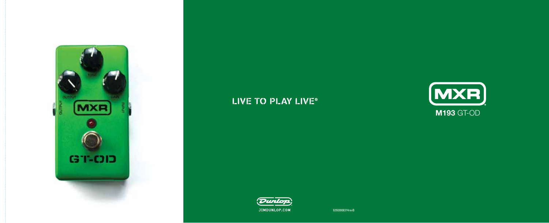

# LIVE TO PLAY LIVE®



## **M193** GT-OD



92503008374revB